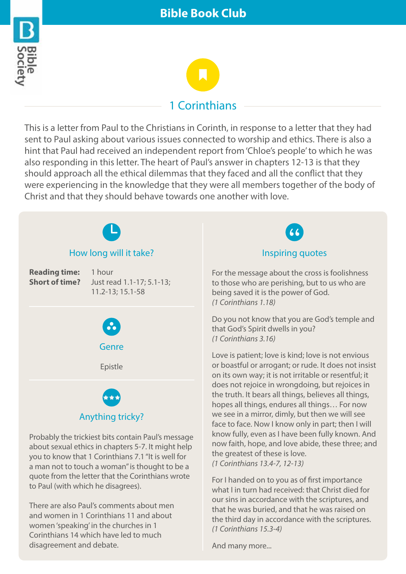



### 1 Corinthians

This is a letter from Paul to the Christians in Corinth, in response to a letter that they had sent to Paul asking about various issues connected to worship and ethics. There is also a hint that Paul had received an independent report from 'Chloe's people' to which he was also responding in this letter. The heart of Paul's answer in chapters 12-13 is that they should approach all the ethical dilemmas that they faced and all the conflict that they were experiencing in the knowledge that they were all members together of the body of Christ and that they should behave towards one another with love.



Probably the trickiest bits contain Paul's message about sexual ethics in chapters 5-7. It might help you to know that 1 Corinthians 7.1 "It is well for a man not to touch a woman" is thought to be a quote from the letter that the Corinthians wrote to Paul (with which he disagrees).

There are also Paul's comments about men and women in 1 Corinthians 11 and about women 'speaking' in the churches in 1 Corinthians 14 which have led to much disagreement and debate.



### Inspiring quotes

For the message about the cross is foolishness to those who are perishing, but to us who are being saved it is the power of God. *(1 Corinthians 1.18)*

Do you not know that you are God's temple and that God's Spirit dwells in you? *(1 Corinthians 3.16)*

Love is patient; love is kind; love is not envious or boastful or arrogant; or rude. It does not insist on its own way; it is not irritable or resentful; it does not rejoice in wrongdoing, but rejoices in the truth. It bears all things, believes all things, hopes all things, endures all things… For now we see in a mirror, dimly, but then we will see face to face. Now I know only in part; then I will know fully, even as I have been fully known. And now faith, hope, and love abide, these three; and the greatest of these is love. *(1 Corinthians 13.4-7, 12-13)*

For I handed on to you as of first importance what I in turn had received: that Christ died for our sins in accordance with the scriptures, and that he was buried, and that he was raised on the third day in accordance with the scriptures. *(1 Corinthians 15.3-4)*

And many more...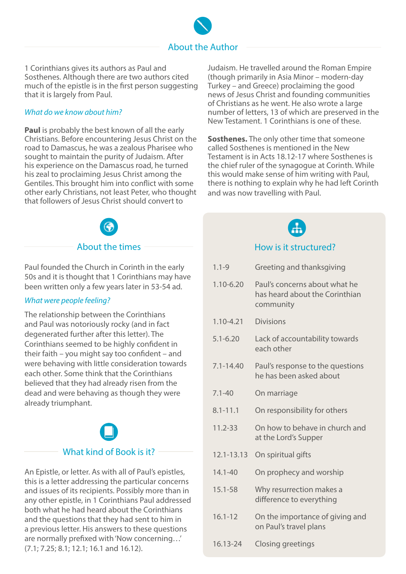### About the Author

1 Corinthians gives its authors as Paul and Sosthenes. Although there are two authors cited much of the epistle is in the first person suggesting that it is largely from Paul.

### *What do we know about him?*

**Paul** is probably the best known of all the early Christians. Before encountering Jesus Christ on the road to Damascus, he was a zealous Pharisee who sought to maintain the purity of Judaism. After his experience on the Damascus road, he turned his zeal to proclaiming Jesus Christ among the Gentiles. This brought him into conflict with some other early Christians, not least Peter, who thought that followers of Jesus Christ should convert to

Judaism. He travelled around the Roman Empire (though primarily in Asia Minor – modern-day Turkey – and Greece) proclaiming the good news of Jesus Christ and founding communities of Christians as he went. He also wrote a large number of letters, 13 of which are preserved in the New Testament. 1 Corinthians is one of these.

**Sosthenes.** The only other time that someone called Sosthenes is mentioned in the New Testament is in Acts 18.12-17 where Sosthenes is the chief ruler of the synagogue at Corinth. While this would make sense of him writing with Paul, there is nothing to explain why he had left Corinth and was now travelling with Paul.



### About the times

Paul founded the Church in Corinth in the early 50s and it is thought that 1 Corinthians may have been written only a few years later in 53-54 ad.

#### *What were people feeling?*

The relationship between the Corinthians and Paul was notoriously rocky (and in fact degenerated further after this letter). The Corinthians seemed to be highly confident in their faith – you might say too confident – and were behaving with little consideration towards each other. Some think that the Corinthians believed that they had already risen from the dead and were behaving as though they were already triumphant.

# What kind of Book is it?

## An Epistle, or letter. As with all of Paul's epistles,

this is a letter addressing the particular concerns and issues of its recipients. Possibly more than in any other epistle, in 1 Corinthians Paul addressed both what he had heard about the Corinthians and the questions that they had sent to him in a previous letter. His answers to these questions are normally prefixed with 'Now concerning…' (7.1; 7.25; 8.1; 12.1; 16.1 and 16.12).



### How is it structured?

110 Greeting and thanksgiving

| <b></b>       | QIEELIIIY AHU LIIAHNSYIVIIIY                                                 |
|---------------|------------------------------------------------------------------------------|
| $1.10 - 6.20$ | Paul's concerns about what he<br>has heard about the Corinthian<br>community |
| $1.10 - 4.21$ | <b>Divisions</b>                                                             |
| $5.1 - 6.20$  | Lack of accountability towards<br>each other                                 |
| $7.1 - 14.40$ | Paul's response to the questions<br>he has been asked about                  |
| $7.1 - 40$    | On marriage                                                                  |
| $8.1 - 11.1$  | On responsibility for others                                                 |
| $11.2 - 33$   | On how to behave in church and<br>at the Lord's Supper                       |
| 12.1-13.13    | On spiritual gifts                                                           |
| $14.1 - 40$   | On prophecy and worship                                                      |
| $15.1 - 58$   | Why resurrection makes a<br>difference to everything                         |
| $16.1 - 12$   | On the importance of giving and<br>on Paul's travel plans                    |
| 16.13-24      | <b>Closing greetings</b>                                                     |